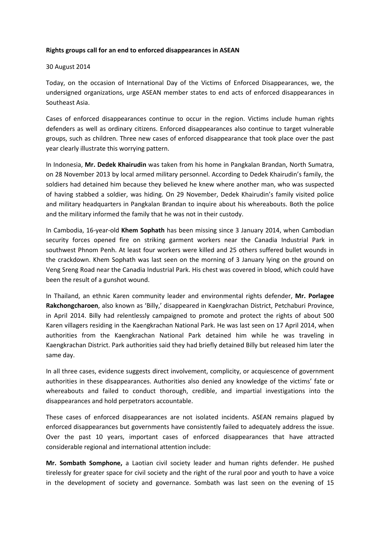## Rights groups call for an end to enforced disappearances in ASEAN

## 30 August 2014

Today, on the occasion of International Day of the Victims of Enforced Disappearances, we, the undersigned organizations, urge ASEAN member states to end acts of enforced disappearances in Southeast Asia.

Cases of enforced disappearances continue to occur in the region. Victims include human rights defenders as well as ordinary citizens. Enforced disappearances also continue to target vulnerable groups, such as children. Three new cases of enforced disappearance that took place over the past year clearly illustrate this worrying pattern.

In Indonesia, Mr. Dedek Khairudin was taken from his home in Pangkalan Brandan, North Sumatra, on 28 November 2013 by local armed military personnel. According to Dedek Khairudin's family, the soldiers had detained him because they believed he knew where another man, who was suspected of having stabbed a soldier, was hiding. On 29 November, Dedek Khairudin's family visited police and military headquarters in Pangkalan Brandan to inquire about his whereabouts. Both the police and the military informed the family that he was not in their custody.

In Cambodia, 16-year-old Khem Sophath has been missing since 3 January 2014, when Cambodian security forces opened fire on striking garment workers near the Canadia Industrial Park in southwest Phnom Penh. At least four workers were killed and 25 others suffered bullet wounds in the crackdown. Khem Sophath was last seen on the morning of 3 January lying on the ground on Veng Sreng Road near the Canadia Industrial Park. His chest was covered in blood, which could have been the result of a gunshot wound.

In Thailand, an ethnic Karen community leader and environmental rights defender, Mr. Porlagee Rakchongcharoen, also known as 'Billy,' disappeared in Kaengkrachan District, Petchaburi Province, in April 2014. Billy had relentlessly campaigned to promote and protect the rights of about 500 Karen villagers residing in the Kaengkrachan National Park. He was last seen on 17 April 2014, when authorities from the Kaengkrachan National Park detained him while he was traveling in Kaengkrachan District. Park authorities said they had briefly detained Billy but released him later the same day.

In all three cases, evidence suggests direct involvement, complicity, or acquiescence of government authorities in these disappearances. Authorities also denied any knowledge of the victims' fate or whereabouts and failed to conduct thorough, credible, and impartial investigations into the disappearances and hold perpetrators accountable.

These cases of enforced disappearances are not isolated incidents. ASEAN remains plagued by enforced disappearances but governments have consistently failed to adequately address the issue. Over the past 10 years, important cases of enforced disappearances that have attracted considerable regional and international attention include:

Mr. Sombath Somphone, a Laotian civil society leader and human rights defender. He pushed tirelessly for greater space for civil society and the right of the rural poor and youth to have a voice in the development of society and governance. Sombath was last seen on the evening of 15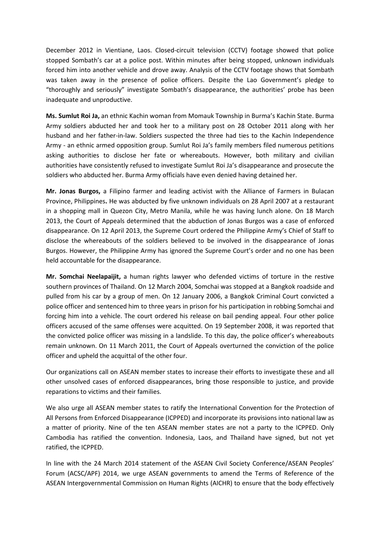December 2012 in Vientiane, Laos. Closed-circuit television (CCTV) footage showed that police stopped Sombath's car at a police post. Within minutes after being stopped, unknown individuals forced him into another vehicle and drove away. Analysis of the CCTV footage shows that Sombath was taken away in the presence of police officers. Despite the Lao Government's pledge to "thoroughly and seriously" investigate Sombath's disappearance, the authorities' probe has been inadequate and unproductive.

Ms. Sumlut Roi Ja, an ethnic Kachin woman from Momauk Township in Burma's Kachin State. Burma Army soldiers abducted her and took her to a military post on 28 October 2011 along with her husband and her father-in-law. Soldiers suspected the three had ties to the Kachin Independence Army - an ethnic armed opposition group. Sumlut Roi Ja's family members filed numerous petitions asking authorities to disclose her fate or whereabouts. However, both military and civilian authorities have consistently refused to investigate Sumlut Roi Ja's disappearance and prosecute the soldiers who abducted her. Burma Army officials have even denied having detained her.

Mr. Jonas Burgos, a Filipino farmer and leading activist with the Alliance of Farmers in Bulacan Province, Philippines. He was abducted by five unknown individuals on 28 April 2007 at a restaurant in a shopping mall in Quezon City, Metro Manila, while he was having lunch alone. On 18 March 2013, the Court of Appeals determined that the abduction of Jonas Burgos was a case of enforced disappearance. On 12 April 2013, the Supreme Court ordered the Philippine Army's Chief of Staff to disclose the whereabouts of the soldiers believed to be involved in the disappearance of Jonas Burgos. However, the Philippine Army has ignored the Supreme Court's order and no one has been held accountable for the disappearance.

Mr. Somchai Neelapaijit, a human rights lawyer who defended victims of torture in the restive southern provinces of Thailand. On 12 March 2004, Somchai was stopped at a Bangkok roadside and pulled from his car by a group of men. On 12 January 2006, a Bangkok Criminal Court convicted a police officer and sentenced him to three years in prison for his participation in robbing Somchai and forcing him into a vehicle. The court ordered his release on bail pending appeal. Four other police officers accused of the same offenses were acquitted. On 19 September 2008, it was reported that the convicted police officer was missing in a landslide. To this day, the police officer's whereabouts remain unknown. On 11 March 2011, the Court of Appeals overturned the conviction of the police officer and upheld the acquittal of the other four.

Our organizations call on ASEAN member states to increase their efforts to investigate these and all other unsolved cases of enforced disappearances, bring those responsible to justice, and provide reparations to victims and their families.

We also urge all ASEAN member states to ratify the International Convention for the Protection of All Persons from Enforced Disappearance (ICPPED) and incorporate its provisions into national law as a matter of priority. Nine of the ten ASEAN member states are not a party to the ICPPED. Only Cambodia has ratified the convention. Indonesia, Laos, and Thailand have signed, but not yet ratified, the ICPPED.

In line with the 24 March 2014 statement of the ASEAN Civil Society Conference/ASEAN Peoples' Forum (ACSC/APF) 2014, we urge ASEAN governments to amend the Terms of Reference of the ASEAN Intergovernmental Commission on Human Rights (AICHR) to ensure that the body effectively